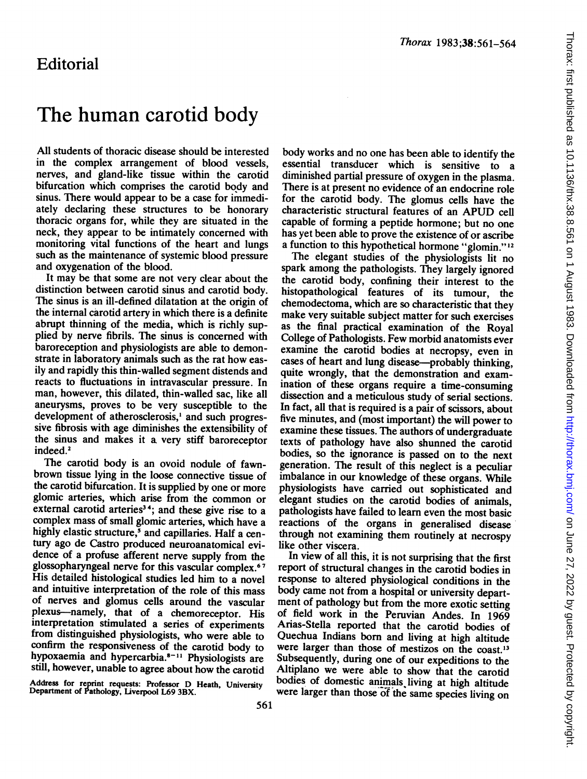## The human carotid body

All students of thoracic disease should be interested in the complex arrangement of blood vessels, nerves, and gland-like tissue within the carotid bifurcation which comprises the carotid body and sinus. There would appear to be a case for immediately declaring these structures to be honorary thoracic organs for, while they are situated in the neck, they appear to be intimately concerned with monitoring vital functions of the heart and lungs such as the maintenance of systemic blood pressure and oxygenation of the blood.

It may be that some are not very clear about the distinction between carotid sinus and carotid body. The sinus is an ill-defined dilatation at the origin of the internal carotid artery in which there is a definite abrupt thinning of the media, which is richly supplied by nerve fibrils. The sinus is concerned with baroreception and physiologists are able to demonstrate in laboratory animals such as the rat how easily and rapidly this thin-walled segment distends and reacts to fluctuations in intravascular pressure. In man, however, this dilated, thin-walled sac, like all aneurysms, proves to be very susceptible to the development of atherosclerosis,' and such progressive fibrosis with age diminishes the extensibility of the sinus and makes it a very stiff baroreceptor indeed.<sup>2</sup>

The carotid body is an ovoid nodule of fawnbrown tissue lying in the loose connective tissue of the carotid bifurcation. It is supplied by one or more glomic arteries, which arise from the common or external carotid arteries<sup>34</sup>; and these give rise to a complex mass of small glomic arteries, which have a highly elastic structure, $\bar{s}$  and capillaries. Half a century ago de Castro produced neuroanatomical evidence of a profuse afferent nerve supply from the glossopharyngeal nerve for this vascular complex.67 His detailed histological studies led him to a novel and intuitive interpretation of the role of this mass of nerves and glomus cells around the vascular plexus-namely, that of a chemoreceptor. His interpretation stimulated a series of experiments from distinguished physiologists, who were able to confirm the responsiveness of the carotid body to hypoxaemia and hypercarbia.<sup>8-11</sup> Physiologists are still, however, unable to agree about how the carotid

Address for reprint requests: Professor <sup>D</sup> Heath, University Department of Pathology, Liverpool L69 3BX.

body works and no one has been able to identify the essential transducer which is sensitive to a diminished partial pressure of oxygen in the plasma. There is at present no evidence of an endocrine role for the carotid body. The glomus cells have the characteristic structural features of an APUD cell capable of forming a peptide hormone; but no one has yet been able to prove the existence of or ascribe<br>a function to this hypothetical hormone "glomin."<sup>12</sup> The elegant studies of the physiologists lit no

spark among the pathologists. They largely ignored the carotid body, confining their interest to the histopathological features of its tumour, the chemodectoma, which are so characteristic that they make very suitable subject matter for such exercises as the final practical examination of the Royal College of Pathologists. Few morbid anatomists ever examine the carotid bodies at necropsy, even in cases of heart and lung disease—probably thinking, quite wrongly, that the demonstration and examination of these organs require a time-consuming dissection and a meticulous study of serial sections. In fact, all that is required is a pair of scissors, about five minutes, and (most important) the will power to examine these tissues. The authors of undergraduate texts of pathology have also shunned the carotid bodies, so the ignorance is passed on to the next generation. The result of this neglect is a peculiar imbalance in our knowledge of these organs. While physiologists have carried out sophisticated and elegant studies on the carotid bodies of animals, pathologists have failed to learn even the most basic reactions of the organs in generalised disease through not examining them routinely at necrospy like other viscera.

In view of all this, it is not surprising that the first report of structural changes in the carotid bodies in response to altered physiological conditions in the body came not from <sup>a</sup> hospital or university department of pathology but from the more exotic setting of field work in the Peruvian Andes. In 1969 Arias-Stella reported that the carotid bodies of Quechua Indians born and living at high altitude were larger than those of mestizos on the coast.'3 Subsequently, during one of our expeditions to the Altiplano we were able to show that the carotid bodies of domestic animals living at high altitude were larger than those of the same species living on

Thorax: first published as 10.1136/thx.38.8.561 on 1 August 1983. Downloaded from http://thorax.bmj.com/ on June 27, 2022 by guest. Protected by copyright on June 27, 2022 by guest. Protected by copyright. <http://thorax.bmj.com/> Thorax: first published as 10.1136/thx.38.8.561 on 1 August 1983. Downloaded from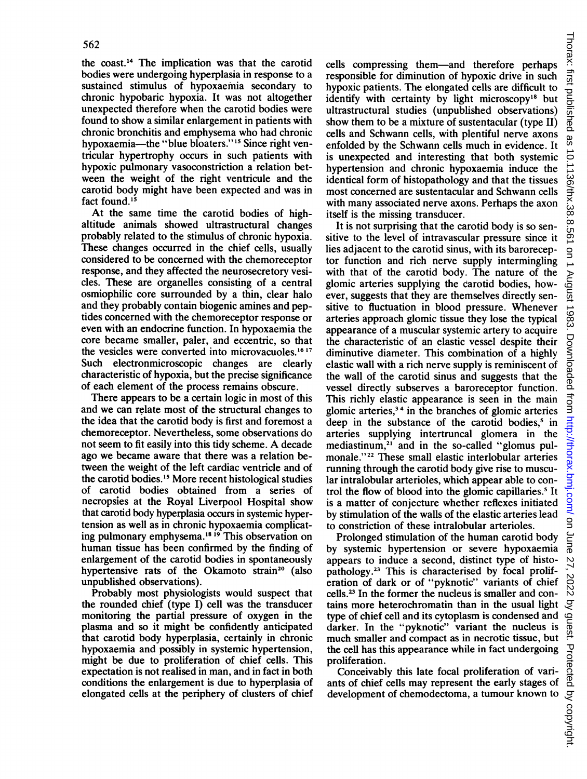the coast.'4 The implication was that the carotid bodies were undergoing hyperplasia in response to a sustained stimulus of hypoxaemia secondary to chronic hypobaric hypoxia. It was not altogether unexpected therefore when the carotid bodies were found to show a similar enlargement in patients with chronic bronchitis and emphysema who had chronic hypoxaemia—the "blue bloaters."<sup>15</sup> Since right ventricular hypertrophy occurs in such patients with hypoxic pulmonary vasoconstriction a relation between the weight of the right ventricule and the carotid body might have been expected and was in fact found.'5

At the same time the carotid bodies of highaltitude animals showed ultrastructural changes probably related to the stimulus of chronic hypoxia. These changes occurred in the chief cells, usually considered to be concerned with the chemoreceptor response, and they affected the neurosecretory vesicles. These are organelles consisting of a central osmiophilic core surrounded by a thin, clear halo and they probably contain biogenic amines and peptides concerned with the chemoreceptor response or even with an endocrine function. In hypoxaemia the core became smaller, paler, and eccentric, so that the vesicles were converted into microvacuoles.'6 <sup>17</sup> Such electronmicroscopic changes are clearly characteristic of hypoxia, but the precise significance of each element of the process remains obscure.

There appears to be a certain logic in most of this and we can relate most of the structural changes to the idea that the carotid body is first and foremost a chemoreceptor. Nevertheless, some observations do not seem to fit easily into this tidy scheme. A decade ago we became aware that there was a relation between the weight of the left cardiac ventricle and of the carotid bodies.'5 More recent histological studies of carotid bodies obtained from a series of necropsies at the Royal Liverpool Hospital show that carotid body hyperplasia occurs in systemic hypertension as well as in chronic hypoxaemia complicating pulmonary emphysema.'8 <sup>19</sup> This observation on human tissue has been confirmed by the finding of enlargement of the carotid bodies in spontaneously hypertensive rats of the Okamoto strain<sup>20</sup> (also unpublished observations).

Probably most physiologists would suspect that the rounded chief (type I) cell was the transducer monitoring the partial pressure of oxygen in the plasma and so it might be confidently anticipated that carotid body hyperplasia, certainly in chronic hypoxaemia and possibly in systemic hypertension, might be due to proliferation of chief cells. This expectation is not realised in man, and in fact in both conditions the enlargement is due to hyperplasia of elongated cells at the periphery of clusters of chief cells compressing them-and therefore perhaps responsible for diminution of hypoxic drive in such hypoxic patients. The elongated cells are difficult to identify with certainty by light microscopy<sup>18</sup> but ultrastructural studies (unpublished observations) show them to be a mixture of sustentacular (type II) cells and Schwann cells, with plentiful nerve axons enfolded by the Schwann cells much in evidence. It is unexpected and interesting that both systemic hypertension and chronic hypoxaemia induce the identical form of histopathology and that the tissues most concerned are sustentacular and Schwann cells with many associated nerve axons. Perhaps the axon itself is the missing transducer.

It is not surprising that the carotid body is so sensitive to the level of intravascular pressure since it lies adjacent to the carotid sinus, with its baroreceptor function and rich nerve supply intermingling with that of the carotid body. The nature of the glomic arteries supplying the carotid bodies, however, suggests that they are themselves directly sensitive to fluctuation in blood pressure. Whenever arteries approach glomic tissue they lose the typical appearance of a muscular systemic artery to acquire the characteristic of an elastic vessel despite their diminutive diameter. This combination of a highly elastic wall with a rich nerve supply is reminiscent of the wall of the carotid sinus and suggests that the vessel directly subserves a baroreceptor function. This richly elastic appearance is seen in the main glomic arteries,34 in the branches of glomic arteries deep in the substance of the carotid bodies,<sup>5</sup> in arteries supplying intertruncal glomera in the mediastinum,<sup>21</sup> and in the so-called "glomus pulmonale."<sup>22</sup> These small elastic interlobular arteries running through the carotid body give rise to muscular intralobular arterioles, which appear able to control the flow of blood into the glomic capillaries.<sup>5</sup> It is a matter of conjecture whether reflexes initiated by stimulation of the walls of the elastic arteries lead to constriction of these intralobular arterioles.

Prolonged stimulation of the human carotid body by systemic hypertension or severe hypoxaemia appears to induce a second, distinct type of histopathology.23 This is characterised by focal proliferation of dark or of "pyknotic" variants of chief cells.23 In the former the nucleus is smaller and contains more heterochromatin than in the usual light type of chief cell and its cytoplasm is condensed and darker. In the "pyknotic" variant the nucleus is much smaller and compact as in necrotic tissue, but the cell has this appearance while in fact undergoing proliferation.

Conceivably this late focal proliferation of variants of chief cells may represent the early stages of development of chemodectoma, a tumour known to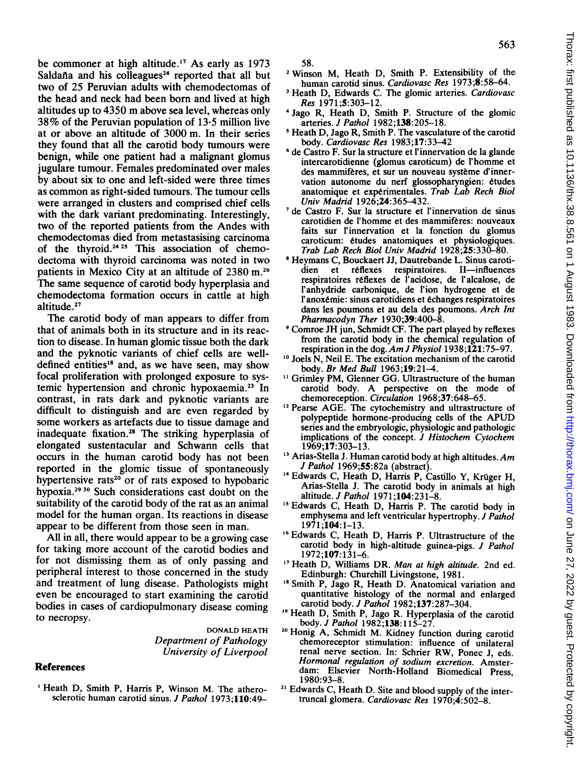be commoner at high altitude.'7 As early as 1973 Saldaña and his colleagues<sup>24</sup> reported that all but two of 25 Peruvian adults with chemodectomas of the head and neck had been born and lived at high altitudes up to <sup>4350</sup> m above sea level, whereas only 38% of the Peruvian population of 13-5 million live at or above an altitude of 3000 m. In their series they found that all the carotid body tumours were benign, while one patient had a malignant glomus jugulare tumour. Females predominated over males by about six to one and left-sided were three times as common as right-sided tumours. The tumour cells were arranged in clusters and comprised chief cells with the dark variant predominating. Interestingly, two of the reported patients from the Andes with chemodectomas died from metastasising carcinoma of the thyroid.<sup>24 25</sup> This association of chemodectoma with thyroid carcinoma was noted in two patients in Mexico City at an altitude of 2380 m.<sup>26</sup> The same sequence of carotid body hyperplasia and chemodectoma formation occurs in cattle at high altitude.<sup>27</sup>

The carotid body of man appears to differ from that of animals both in its structure and in its reaction to disease. In human glomic tissue both the dark and the pyknotic variants of chief cells are welldefined entities<sup>18</sup> and, as we have seen, may show focal proliferation with prolonged exposure to systemic hypertension and chronic hypoxaemia.23 In contrast, in rats dark and pyknotic variants are difficult to distinguish and are even regarded by some workers as artefacts due to tissue damage and inadequate fixation.28 The striking hyperplasia of elongated sustentacular and Schwann cells that occurs in the human carotid body has not been reported in the glomic tissue of spontaneously hypertensive rats<sup>20</sup> or of rats exposed to hypobaric hypoxia.2930 Such considerations cast doubt on the suitability of the carotid body of the rat as an animal model for the human organ. Its reactions in disease appear to be different from those seen in man.

All in all, there would appear to be a growing case for taking more account of the carotid bodies and for not dismissing them as of only passing and peripheral interest to those concerned in the study and treatment of lung disease. Pathologists might even be encouraged to start examining the carotid bodies in cases of cardiopulmonary disease coming to necropsy.

> DONALD HEATH Department of Pathology University of Liverpool

## References

' Heath D, Smith P, Harris P, Winson M. The atherosclerotic human carotid sinus. J Pathol 1973;110:4958.

- <sup>2</sup> Winson M, Heath D, Smith P. Extensibility of the human carotid sinus. Cardiovasc Res 1973;8:58-64.
- 'Heath D, Edwards C. The glomic arteries. Cardiovasc Res 1971;5:303-12.
- <sup>4</sup> Jago R, Heath D, Smith P. Structure of the glomic arteries. J Pathol 1982:138:205-18.
- <sup>s</sup> Heath D, Jago R, Smith P. The vasculature of the carotid body. Cardiovasc Res 1983;17:33-42
- <sup>6</sup> de Castro F. Sur la structure et l'innervation de la glande intercarotidienne (glomus caroticum) de l'homme et des mammiferes, et sur un nouveau systeme d'innervation autonome du nerf glossopharyngien: etudes anatomique et expérimentales. Trab Lab Rech Biol Univ Madrid 1926;24:365-432.
- <sup>7</sup> de Castro F. Sur la structure et l'innervation de sinus carotidien de l'homme et des mammiferes: nouveaux faits sur l'innervation et la fonction du glomus caroticum: etudes anatomiques et physiologiques. Trab Lab Rech Biol Univ Madrid 1928;25:330-80.
- <sup>8</sup> Heymans C, Bouckaert JJ, Dautrebande L. Sinus carotidien et réflexes respiratoires. II—influences et réflexes respiratoires. respiratoires reflexes de <sup>l</sup>'acidose, de <sup>l</sup>'alcalose, de l'anhydride carbonique, de l'ion hydrogene et de l'anoxemie: sinus carotidiens et echanges respiratoires dans les poumons et au dela des poumons. Arch Int Pharmacodyn Ther 1930;39:400-8.
- <sup>9</sup> Comroe JH jun, Schmidt CF. The part played by reflexes from the carotid body in the chemical regulation of respiration in the dog. Am <sup>J</sup> Physiol 1938;121:75-97.
- <sup>10</sup> Joels N, Neil E. The excitation mechanism of the carotid body. Br Med Bull 1963;19:21-4.
- <sup>11</sup> Grimley PM, Glenner GG. Ultrastructure of the human carotid body. A perspective on the mode of chemoreception. Circulation 1968;37:648-65.
- <sup>12</sup> Pearse AGE. The cytochemistry and ultrastructure of polypeptide hormone-producing cells of the APUD series and the embryologic, physiologic and pathologic implications of the concept. J Histochem Cytochem 1969;17:303-13.
- $13$  Arias-Stella J. Human carotid body at high altitudes. Am J Pathol 1969;55:82a (abstract).
- <sup>14</sup> Edwards C, Heath D, Harris P, Castillo Y, Krüger H, Arias-Stella J. The carotid body in animals at high altitude. J Pathol 1971;104:231-8.
- <sup>15</sup> Edwards C, Heath D, Harris P. The carotid body in emphysema and left ventricular hypertrophy. J Pathol 1971 ;104:1-13.
- <sup>16</sup> Edwards C, Heath D, Harris P. Ultrastructure of the carotid body in high-altitude guinea-pigs. J Pathol 1972;107:131-6.
- <sup>17</sup> Heath D, Williams DR. Man at high altitude. 2nd ed. Edinburgh: Churchill Livingstone, 1981.
- <sup>18</sup> Smith P, Jago R, Heath D. Anatomical variation and quantitative histology of the normal and enlarged carotid body. J Pathol 1982;137:287-304.
- <sup>19</sup> Heath D, Smith P, Jago R. Hyperplasia of the carotid body. J Pathol 1982;138:115-27.
- <sup>20</sup> Honig A, Schmidt M. Kidney function during carotid chemoreceptor stimulation: influence of unilateral renal nerve section. In: Schrier RW, Ponec J, eds. Hormonal regulation of sodium excretion. Amsterdam: Elsevier North-Holland Biomedical Press, 1980:93-8.
- <sup>21</sup> Edwards C, Heath D. Site and blood supply of the intertruncal glomera. Cardiovasc Res 1970;4:502-8.